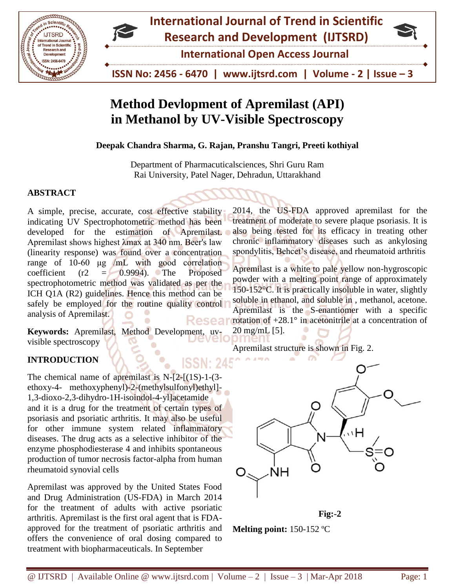



**International Open Access Journal**

 **ISSN No: 2456 - 6470 | www.ijtsrd.com | Volume - 2 | Issue – 3**

# **Method Devlopment of Apremilast (API) in Methanol by UV-Visible Spectroscopy**

**Deepak Chandra Sharma, G. Rajan, Pranshu Tangri, Preeti kothiyal**

Department of Pharmacuticalsciences, Shri Guru Ram Rai University, Patel Nager, Dehradun, Uttarakhand

## **ABSTRACT**

A simple, precise, accurate, cost effective stability indicating UV Spectrophotometric method has been developed for the estimation of Apremilast. Apremilast shows highest λmax at 340 nm. Beer's law (linearity response) was found over a concentration range of 10-60 μg /mL with good correlation coefficient  $(r2 = 0.9994)$ . The Proposed spectrophotometric method was validated as per the ICH Q1A (R2) guidelines. Hence this method can be safely be employed for the routine quality control analysis of Apremilast. Reseal

**Keywords:** Apremilast, Method Development, uvvisible spectroscopy

## **INTRODUCTION**

The chemical name of apremilast is N-[2-[(1S)-1-(3 ethoxy-4- methoxyphenyl)-2-(methylsulfonyl)ethyl]- 1,3-dioxo-2,3-dihydro-1H-isoindol-4-yl]acetamide and it is a drug for the treatment of certain types of psoriasis and psoriatic arthritis. It may also be useful for other immune system related inflammatory diseases. The drug acts as a selective inhibitor of the enzyme phosphodiesterase 4 and inhibits spontaneous production of tumor necrosis factor-alpha from human rheumatoid synovial cells

Apremilast was approved by the United States Food and Drug Administration (US-FDA) in March 2014 for the treatment of adults with active psoriatic arthritis. Apremilast is the first oral agent that is FDAapproved for the treatment of psoriatic arthritis and offers the convenience of oral dosing compared to treatment with biopharmaceuticals. In September

2014, the US-FDA approved apremilast for the treatment of moderate to severe plaque psoriasis. It is also being tested for its efficacy in treating other chronic inflammatory diseases such as ankylosing spondylitis, Behcet's disease, and rheumatoid arthritis

Apremilast is a white to pale yellow non-hygroscopic powder with a melting point range of approximately 150-152°C. It is practically insoluble in water, slightly soluble in ethanol, and soluble in , methanol, acetone. Apremilast is the S-enantiomer with a specific rotation of  $+28.1^\circ$  in acetonitrile at a concentration of 20 mg/mL [5].

Apremilast structure is shown in Fig. 2.



**Fig:-2**

**Melting point:** 150-152 ºC

ISSN: 24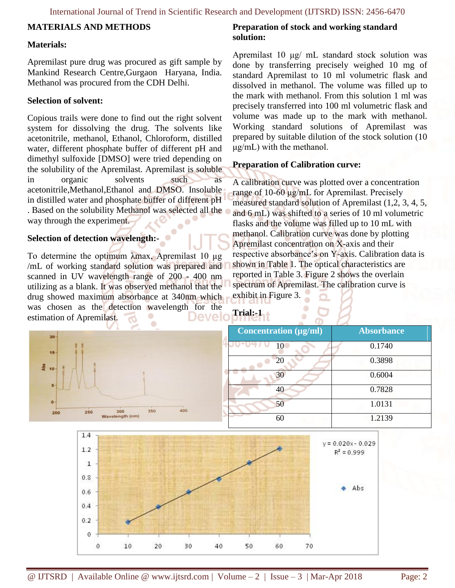### **MATERIALS AND METHODS**

#### **Materials:**

Apremilast pure drug was procured as gift sample by Mankind Research Centre,Gurgaon Haryana, India. Methanol was procured from the CDH Delhi.

#### **Selection of solvent:**

Copious trails were done to find out the right solvent system for dissolving the drug. The solvents like acetonitrile, methanol, Ethanol, Chloroform, distilled water, different phosphate buffer of different pH and dimethyl sulfoxide [DMSO] were tried depending on the solubility of the Apremilast. Apremilast is soluble in organic solvents such as acetonitrile,Methanol,Ethanol and DMSO. Insoluble in distilled water and phosphate buffer of different pH . Based on the solubility Methanol was selected all the way through the experiment.

#### **Selection of detection wavelength:-**

To determine the optimum λmax, Apremilast 10 µg /mL of working standard solution was prepared and scanned in UV wavelength range of 200 - 400 nm utilizing as a blank. It was observed methanol that the drug showed maximum absorbance at 340nm which was chosen as the detection wavelength for the estimation of Apremilast. Devel

#### **Preparation of stock and working standard solution:**

Apremilast 10 μg/ mL standard stock solution was done by transferring precisely weighed 10 mg of standard Apremilast to 10 ml volumetric flask and dissolved in methanol. The volume was filled up to the mark with methanol. From this solution 1 ml was precisely transferred into 100 ml volumetric flask and volume was made up to the mark with methanol. Working standard solutions of Apremilast was prepared by suitable dilution of the stock solution (10 μg/mL) with the methanol.

#### **Preparation of Calibration curve:**

A calibration curve was plotted over a concentration range of 10-60 μg/mL for Apremilast. Precisely measured standard solution of Apremilast (1,2, 3, 4, 5, and 6 mL) was shifted to a series of 10 ml volumetric flasks and the volume was filled up to 10 mL with methanol. Calibration curve was done by plotting Apremilast concentration on X-axis and their respective absorbance's on Y-axis. Calibration data is shown in Table 1. The optical characteristics are reported in Table 3. Figure 2 shows the overlain spectrum of Apremilast. The calibration curve is exhibit in Figure 3.